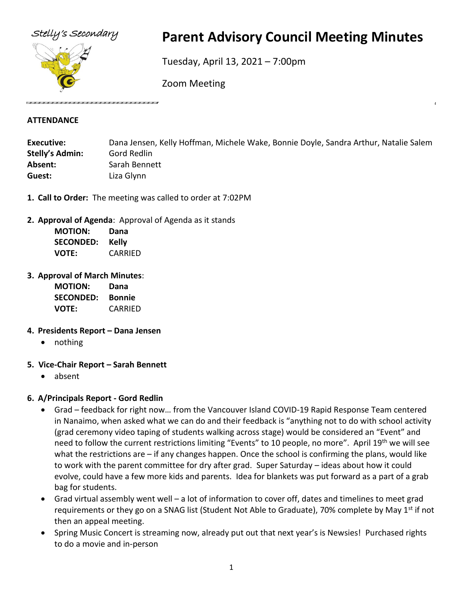

# Stelly's Secondary **Parent Advisory Council Meeting Minutes**

Tuesday, April 13, 2021 – 7:00pm

Zoom Meeting

#### **ATTENDANCE**

| <b>Executive:</b> | Dana Jensen, Kelly Hoffman, Michele Wake, Bonnie Doyle, Sandra Arthur, Natalie Salem |
|-------------------|--------------------------------------------------------------------------------------|
| Stelly's Admin:   | Gord Redlin                                                                          |
| Absent:           | Sarah Bennett                                                                        |
| Guest:            | Liza Glynn                                                                           |

- **1. Call to Order:** The meeting was called to order at 7:02PM
- **2. Approval of Agenda**: Approval of Agenda as it stands

| <b>MOTION:</b>   | Dana         |
|------------------|--------------|
| <b>SECONDED:</b> | <b>Kelly</b> |
| VOTE:            | CARRIED      |

**3. Approval of March Minutes**:

| <b>MOTION:</b>   | Dana          |
|------------------|---------------|
| <b>SECONDED:</b> | <b>Bonnie</b> |
| <b>VOTE:</b>     | CARRIED       |

- **4. Presidents Report – Dana Jensen**
	- nothing
- **5. Vice-Chair Report – Sarah Bennett**
	- absent

## **6. A/Principals Report - Gord Redlin**

- Grad feedback for right now… from the Vancouver Island COVID-19 Rapid Response Team centered in Nanaimo, when asked what we can do and their feedback is "anything not to do with school activity (grad ceremony video taping of students walking across stage) would be considered an "Event" and need to follow the current restrictions limiting "Events" to 10 people, no more". April 19<sup>th</sup> we will see what the restrictions are – if any changes happen. Once the school is confirming the plans, would like to work with the parent committee for dry after grad. Super Saturday – ideas about how it could evolve, could have a few more kids and parents. Idea for blankets was put forward as a part of a grab bag for students.
- Grad virtual assembly went well a lot of information to cover off, dates and timelines to meet grad requirements or they go on a SNAG list (Student Not Able to Graduate), 70% complete by May 1<sup>st</sup> if not then an appeal meeting.
- Spring Music Concert is streaming now, already put out that next year's is Newsies! Purchased rights to do a movie and in-person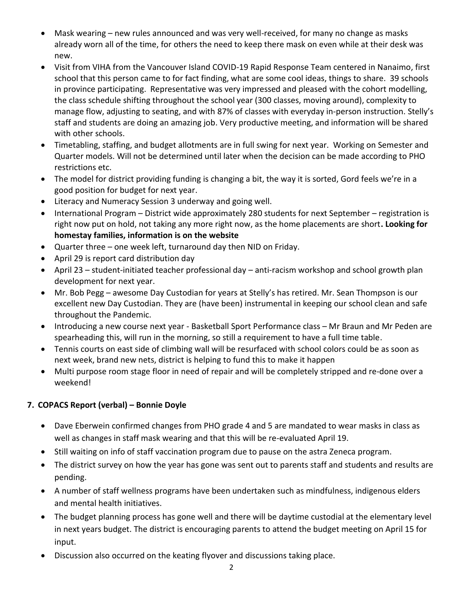- Mask wearing new rules announced and was very well-received, for many no change as masks already worn all of the time, for others the need to keep there mask on even while at their desk was new.
- Visit from VIHA from the Vancouver Island COVID-19 Rapid Response Team centered in Nanaimo, first school that this person came to for fact finding, what are some cool ideas, things to share. 39 schools in province participating. Representative was very impressed and pleased with the cohort modelling, the class schedule shifting throughout the school year (300 classes, moving around), complexity to manage flow, adjusting to seating, and with 87% of classes with everyday in-person instruction. Stelly's staff and students are doing an amazing job. Very productive meeting, and information will be shared with other schools.
- Timetabling, staffing, and budget allotments are in full swing for next year. Working on Semester and Quarter models. Will not be determined until later when the decision can be made according to PHO restrictions etc.
- The model for district providing funding is changing a bit, the way it is sorted, Gord feels we're in a good position for budget for next year.
- Literacy and Numeracy Session 3 underway and going well.
- International Program District wide approximately 280 students for next September registration is right now put on hold, not taking any more right now, as the home placements are short**. Looking for homestay families, information is on the website**
- Quarter three one week left, turnaround day then NID on Friday.
- April 29 is report card distribution day
- April 23 student-initiated teacher professional day anti-racism workshop and school growth plan development for next year.
- Mr. Bob Pegg awesome Day Custodian for years at Stelly's has retired. Mr. Sean Thompson is our excellent new Day Custodian. They are (have been) instrumental in keeping our school clean and safe throughout the Pandemic.
- Introducing a new course next year Basketball Sport Performance class Mr Braun and Mr Peden are spearheading this, will run in the morning, so still a requirement to have a full time table.
- Tennis courts on east side of climbing wall will be resurfaced with school colors could be as soon as next week, brand new nets, district is helping to fund this to make it happen
- Multi purpose room stage floor in need of repair and will be completely stripped and re-done over a weekend!

## **7. COPACS Report (verbal) – Bonnie Doyle**

- Dave Eberwein confirmed changes from PHO grade 4 and 5 are mandated to wear masks in class as well as changes in staff mask wearing and that this will be re-evaluated April 19.
- Still waiting on info of staff vaccination program due to pause on the astra Zeneca program.
- The district survey on how the year has gone was sent out to parents staff and students and results are pending.
- A number of staff wellness programs have been undertaken such as mindfulness, indigenous elders and mental health initiatives.
- The budget planning process has gone well and there will be daytime custodial at the elementary level in next years budget. The district is encouraging parents to attend the budget meeting on April 15 for input.
- Discussion also occurred on the keating flyover and discussions taking place.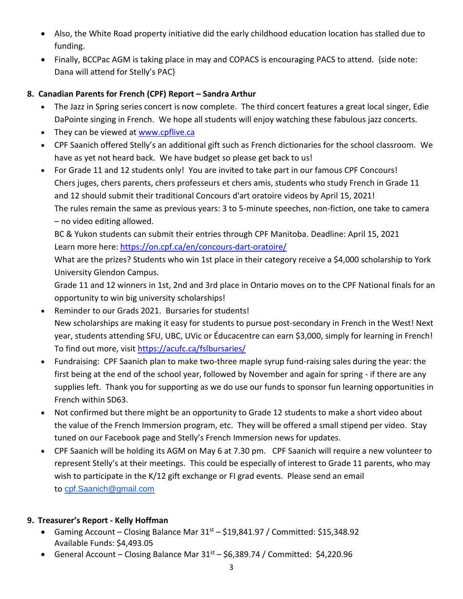- Also, the White Road property initiative did the early childhood education location has stalled due to funding.
- Finally, BCCPac AGM is taking place in may and COPACS is encouraging PACS to attend. {side note: Dana will attend for Stelly's PAC}

## **8. Canadian Parents for French (CPF) Report – Sandra Arthur**

- The Jazz in Spring series concert is now complete. The third concert features a great local singer, Edie DaPointe singing in French. We hope all students will enjoy watching these fabulous jazz concerts.
- They can be viewed at www.cpflive.ca
- CPF Saanich offered Stelly's an additional gift such as French dictionaries for the school classroom. We have as yet not heard back. We have budget so please get back to us!
- For Grade 11 and 12 students only! You are invited to take part in our famous CPF Concours! Chers juges, chers parents, chers professeurs et chers amis, students who study French in Grade 11 and 12 should submit their traditional Concours d'art oratoire videos by April 15, 2021! The rules remain the same as previous years: 3 to 5-minute speeches, non-fiction, one take to camera – no video editing allowed.

BC & Yukon students can submit their entries through CPF Manitoba. Deadline: April 15, 2021 Learn more here:<https://on.cpf.ca/en/concours-dart-oratoire/>

What are the prizes? Students who win 1st place in their category receive a \$4,000 scholarship to York University Glendon Campus.

Grade 11 and 12 winners in 1st, 2nd and 3rd place in Ontario moves on to the CPF National finals for an opportunity to win big university scholarships!

- Reminder to our Grads 2021. Bursaries for students! New scholarships are making it easy for students to pursue post-secondary in French in the West! Next year, students attending SFU, UBC, UVic or Éducacentre can earn \$3,000, simply for learning in French! To find out more, visit <https://acufc.ca/fslbursaries/>
- Fundraising: CPF Saanich plan to make two-three maple syrup fund-raising sales during the year: the first being at the end of the school year, followed by November and again for spring - if there are any supplies left. Thank you for supporting as we do use our funds to sponsor fun learning opportunities in French within SD63.
- Not confirmed but there might be an opportunity to Grade 12 students to make a short video about the value of the French Immersion program, etc. They will be offered a small stipend per video. Stay tuned on our Facebook page and Stelly's French Immersion news for updates.
- CPF Saanich will be holding its AGM on May 6 at 7.30 pm. CPF Saanich will require a new volunteer to represent Stelly's at their meetings. This could be especially of interest to Grade 11 parents, who may wish to participate in the K/12 gift exchange or FI grad events. Please send an email to [cpf.Saanich@gmail.com](mailto:cpf.Saanich@gmail.com)

## **9. Treasurer's Report - Kelly Hoffman**

- Gaming Account Closing Balance Mar  $31<sup>st</sup>$  \$19,841.97 / Committed: \$15,348.92 Available Funds: \$4,493.05
- General Account Closing Balance Mar  $31<sup>st</sup>$  \$6,389.74 / Committed: \$4,220.96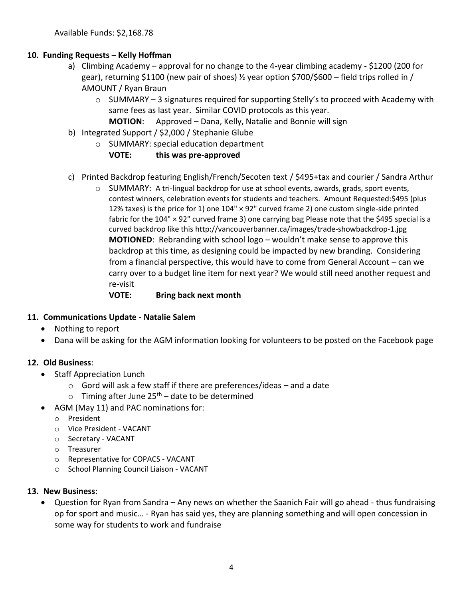### **10. Funding Requests – Kelly Hoffman**

- a) Climbing Academy approval for no change to the 4-year climbing academy \$1200 (200 for gear), returning \$1100 (new pair of shoes) ½ year option \$700/\$600 – field trips rolled in / AMOUNT / Ryan Braun
	- o SUMMARY 3 signatures required for supporting Stelly's to proceed with Academy with same fees as last year. Similar COVID protocols as this year.
	- **MOTION**: Approved Dana, Kelly, Natalie and Bonnie will sign
- b) Integrated Support / \$2,000 / Stephanie Glube
	- o SUMMARY: special education department
		- **VOTE: this was pre-approved**
- c) Printed Backdrop featuring English/French/Secoten text / \$495+tax and courier / Sandra Arthur
	- $\circ$  SUMMARY: A tri-lingual backdrop for use at school events, awards, grads, sport events, contest winners, celebration events for students and teachers. Amount Requested:\$495 (plus 12% taxes) is the price for 1) one 104" × 92" curved frame 2) one custom single-side printed fabric for the 104" × 92" curved frame 3) one carrying bag Please note that the \$495 special is a curved backdrop like this http://vancouverbanner.ca/images/trade-showbackdrop-1.jpg **MOTIONED**: Rebranding with school logo – wouldn't make sense to approve this backdrop at this time, as designing could be impacted by new branding. Considering from a financial perspective, this would have to come from General Account – can we carry over to a budget line item for next year? We would still need another request and re-visit

**VOTE: Bring back next month**

#### **11. Communications Update - Natalie Salem**

- Nothing to report
- Dana will be asking for the AGM information looking for volunteers to be posted on the Facebook page

#### **12. Old Business**:

- Staff Appreciation Lunch
	- o Gord will ask a few staff if there are preferences/ideas and a date
	- $\circ$  Timing after June 25<sup>th</sup> date to be determined
- AGM (May 11) and PAC nominations for:
	- o President
	- o Vice President VACANT
	- o Secretary VACANT
	- o Treasurer
	- o Representative for COPACS VACANT
	- o School Planning Council Liaison VACANT

#### **13. New Business**:

• Question for Ryan from Sandra – Any news on whether the Saanich Fair will go ahead - thus fundraising op for sport and music… - Ryan has said yes, they are planning something and will open concession in some way for students to work and fundraise